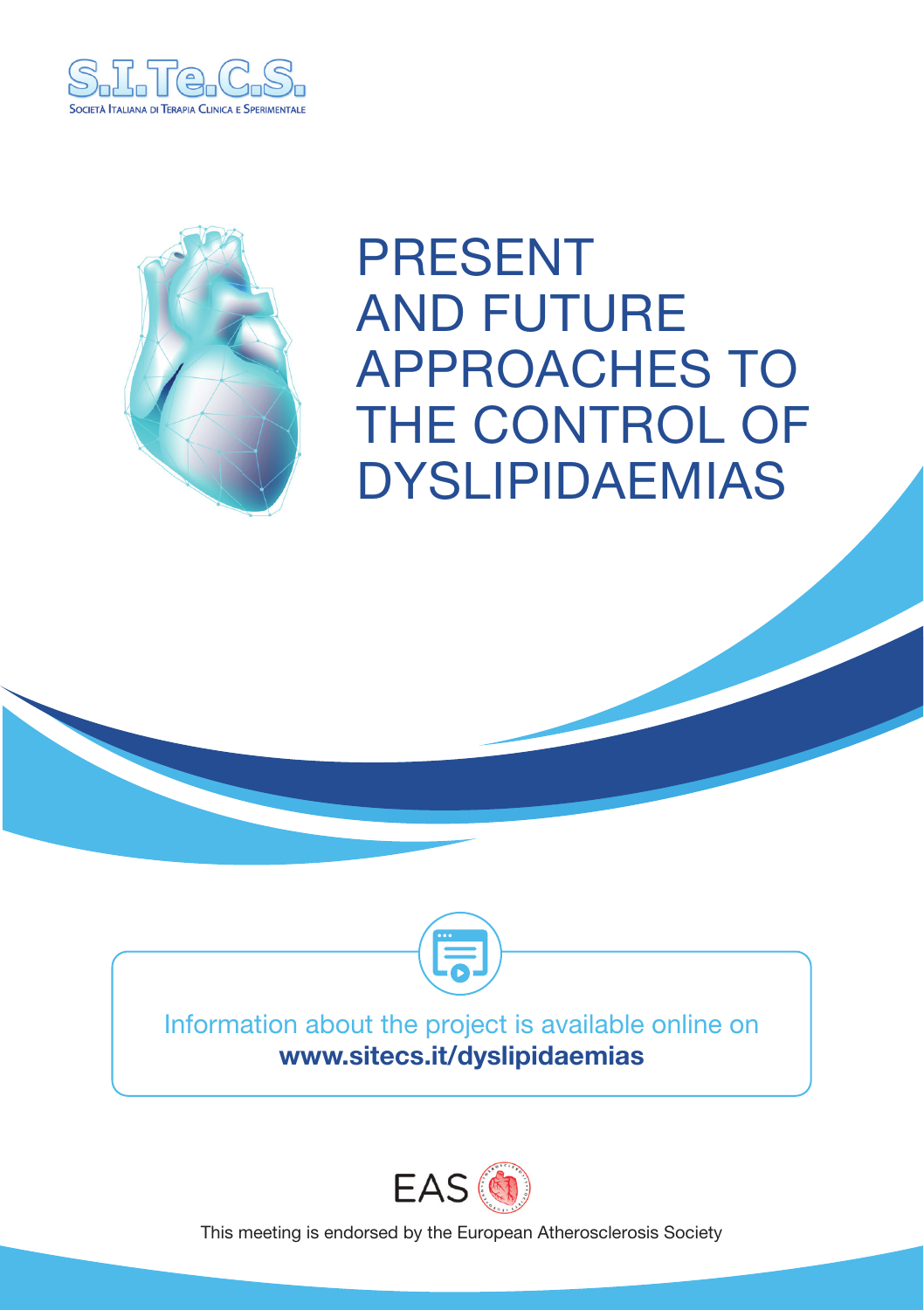



# PRESENT AND FUTURE APPROACHES TO THE CONTROL OF DYSLIPIDAEMIAS





Information about the project is available online on www.sitecs.it/dyslipidaemias



This meeting is endorsed by the European Atherosclerosis Society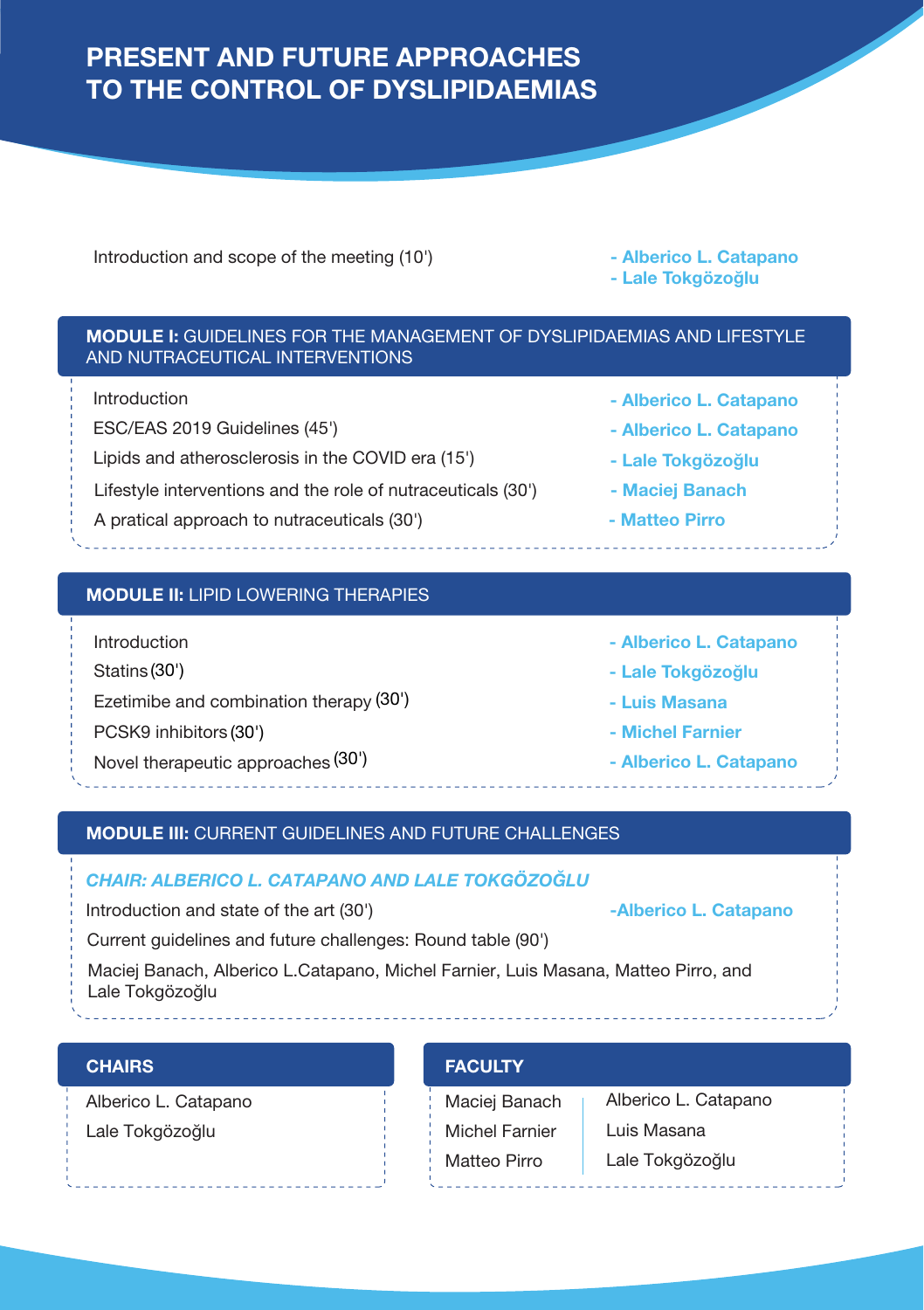# PRESENT AND FUTURE APPROACHES TO THE CONTROL OF DYSLIPIDAEMIAS

Introduction and scope of the meeting (10') **Alberico L. Catapano** 

- Lale Tokgözoğlu

## MODULE I: GUIDELINES FOR THE MANAGEMENT OF DYSLIPIDAEMIAS AND LIFESTYLE AND NUTRACEUTICAL INTERVENTIONS

Introduction

ESC/EAS 2019 Guidelines (45')

Lipids and atherosclerosis in the COVID era (15') - Lale Tokgözoğlu

Lifestyle interventions and the role of nutraceuticals (30') - Maciej Banach

A pratical approach to nutraceuticals (30<sup>'</sup>) **A Matteo Pirro** - **Matteo Pirro** 

# MODULE II: LIPID LOWERING THERAPIES

- Introduction
- Statins (30')
- Ezetimibe and combination therapy (30')
- PCSK9 inhibitors (30')
- Novel therapeutic approaches <sup>(30')</sup> and the setting of the **Alberico L. Catapano**
- Alberico L. Catapano
- Lale Tokgözoğlu
- Luis Masana
- Michel Farnier
	-

# MODULE III: CURRENT GUIDELINES AND FUTURE CHALLENGES

# *CHAIR: ALBERICO L. CATAPANO AND LALE TOKGÖZOĞLU*

Introduction and state of the art (30') **Alberico L. Catapano** - **Alberico L. Catapano** 

Current guidelines and future challenges: Round table (90')

Maciej Banach, Alberico L.Catapano, Michel Farnier, Luis Masana, Matteo Pirro, and

Lale Tokgözoğlu

# **CHAIRS**

Alberico L. Catapano Lale Tokgözoğlu

# **FACULTY**

Maciej Banach Michel Farnier Matteo Pirro

Alberico L. Catapano Luis Masana Lale Tokgözoğlu

- Alberico L. Catapano

- Alberico L. Catapano
- 
- 
-